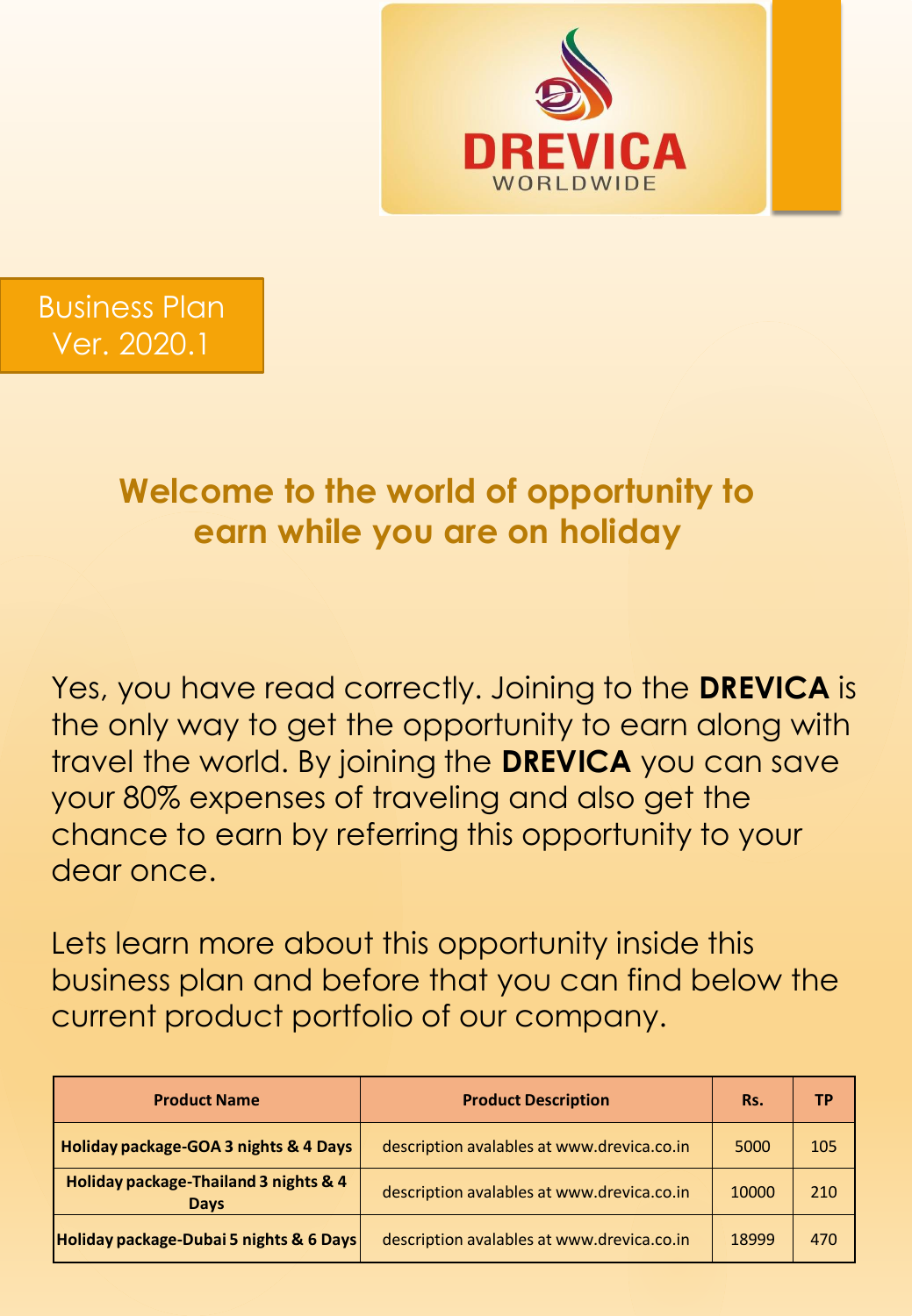



# **Welcome to the world of opportunity to earn while you are on holiday**

Yes, you have read correctly. Joining to the **DREVICA** is the only way to get the opportunity to earn along with travel the world. By joining the **DREVICA** you can save your 80% expenses of traveling and also get the chance to earn by referring this opportunity to your dear once.

Lets learn more about this opportunity inside this business plan and before that you can find below the current product portfolio of our company.

| <b>Product Name</b>                                  | <b>Product Description</b>                 | Rs.   | <b>TP</b> |
|------------------------------------------------------|--------------------------------------------|-------|-----------|
| Holiday package-GOA 3 nights & 4 Days                | description avalables at www.drevica.co.in | 5000  | 105       |
| Holiday package-Thailand 3 nights & 4<br><b>Days</b> | description avalables at www.drevica.co.in | 10000 | 210       |
| Holiday package-Dubai 5 nights & 6 Days              | description avalables at www.drevica.co.in | 18999 | 470       |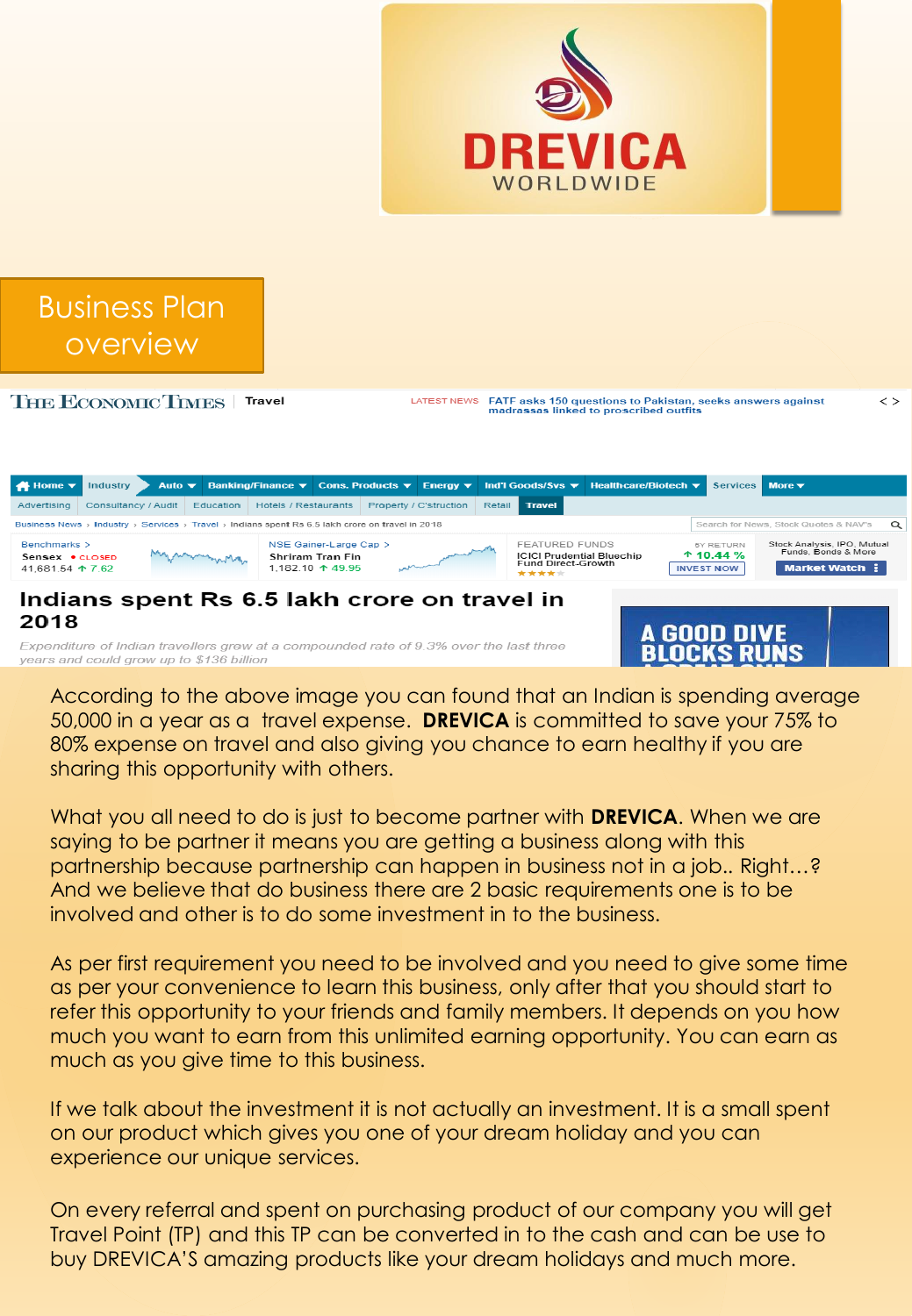



THE ECONOMIC TIMES | Travel

LATEST NEWS FATF asks 150 questions to Pakistan, seeks answers against madrassas linked to proscribed outfits

 $\langle$  >

Industry Auto ▼ Banking/Finance ▼ Cons. Products ▼ Energy ▼ Ind'l Goods/Svs ▼ Healthcare/Biotech ▼ Services More  $\blacktriangledown$  $\bigstar$  Home  $\blacktriangledown$ Advertising Consultancy / Audit Education Hotels / Restaurants Property / C'struction Retail Travel Business News > Industry > Services > Travel > Indians spent Rs 6.5 lakh crore on travel in 2018 Search for News, Stock Quotes & NAV's  $\Omega$ NSE Gainer-Large Cap > **FEATURED FUNDS** Benchmarks > Stock Analysis, IPO, Mutual<br>Funds, Bonds & More mmmmmm  $+ 10.44 \%$ Sensex . CLOSED Shriram Tran Fin ICICI Prudential Bluechip<br>Fund Direct-Growth **INVEST NOW** 41 681 54 4 7 62 1.182.10  $\uparrow$  49.95 Indians spent Rs 6.5 lakh crore on travel in 2018 **GOOD DIVE** Expenditure of Indian travellers grew at a compounded rate of 9.3% over the last three Blocks Runs years and could grow up to \$136 billion

According to the above image you can found that an Indian is spending average 50,000 in a year as a travel expense. **DREVICA** is committed to save your 75% to 80% expense on travel and also giving you chance to earn healthy if you are sharing this opportunity with others.

What you all need to do is just to become partner with **DREVICA**. When we are saying to be partner it means you are getting a business along with this partnership because partnership can happen in business not in a job.. Right…? And we believe that do business there are 2 basic requirements one is to be involved and other is to do some investment in to the business.

As per first requirement you need to be involved and you need to give some time as per your convenience to learn this business, only after that you should start to refer this opportunity to your friends and family members. It depends on you how much you want to earn from this unlimited earning opportunity. You can earn as much as you give time to this business.

If we talk about the investment it is not actually an investment. It is a small spent on our product which gives you one of your dream holiday and you can experience our unique services.

On every referral and spent on purchasing product of our company you will get Travel Point (TP) and this TP can be converted in to the cash and can be use to buy DREVICA'S amazing products like your dream holidays and much more.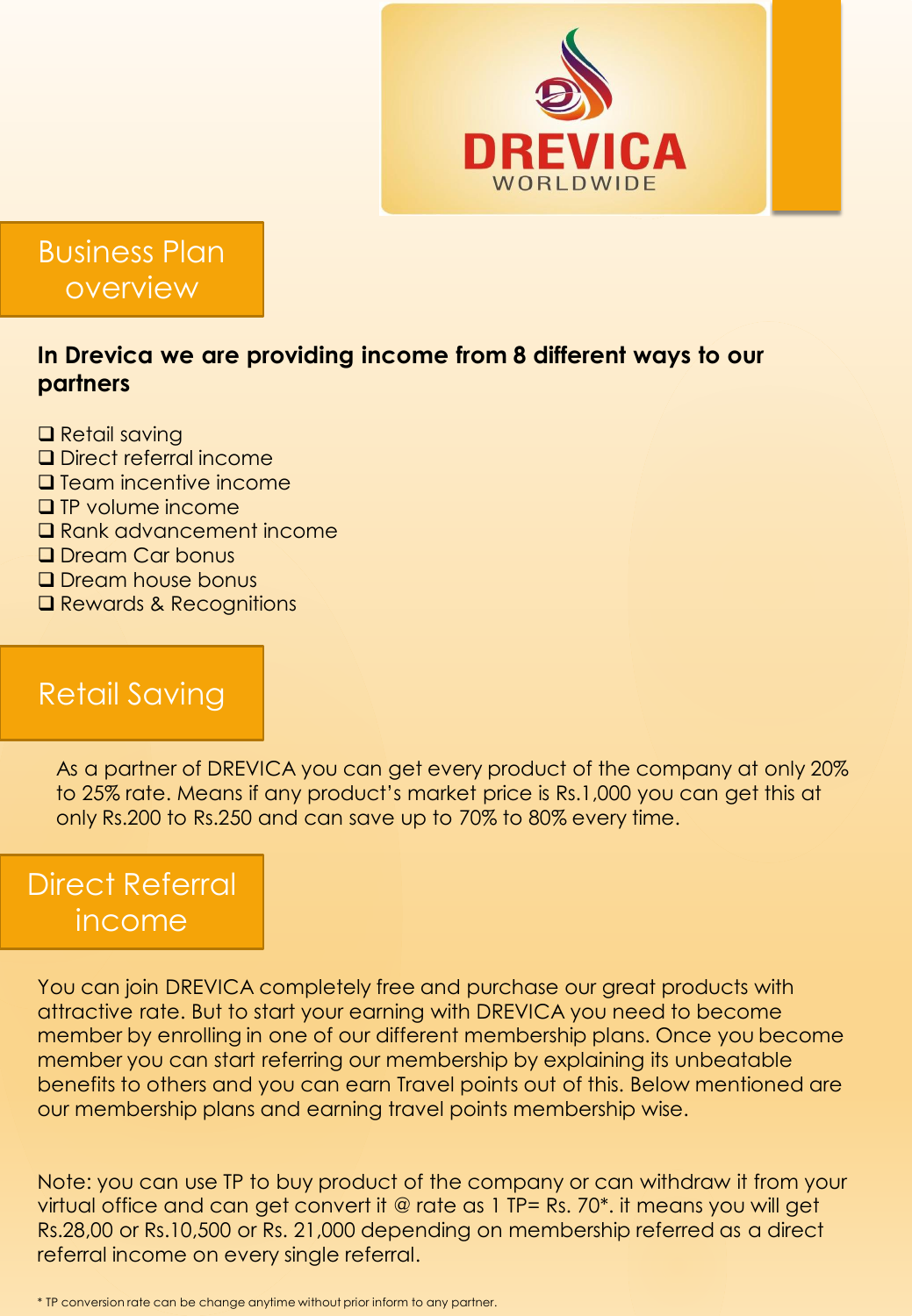

Business Plan overview

#### **In Drevica we are providing income from 8 different ways to our partners**

- ❑ Retail saving ❑ Direct referral income ❑ Team incentive income ❑ TP volume income
- ❑ Rank advancement income
- ❑ Dream Car bonus
- ❑ Dream house bonus
- ❑ Rewards & Recognitions

#### Retail Saving

As a partner of DREVICA you can get every product of the company at only 20% to 25% rate. Means if any product's market price is Rs.1,000 you can get this at only Rs.200 to Rs.250 and can save up to 70% to 80% every time.

### Direct Referral income

You can join DREVICA completely free and purchase our great products with attractive rate. But to start your earning with DREVICA you need to become member by enrolling in one of our different membership plans. Once you become member you can start referring our membership by explaining its unbeatable benefits to others and you can earn Travel points out of this. Below mentioned are our membership plans and earning travel points membership wise.

Note: you can use TP to buy product of the company or can withdraw it from your virtual office and can get convert it @ rate as 1 TP= Rs. 70\*. it means you will get Rs.28,00 or Rs.10,500 or Rs. 21,000 depending on membership referred as a direct referral income on every single referral.

\* TP conversion rate can be change anytime without prior inform to any partner.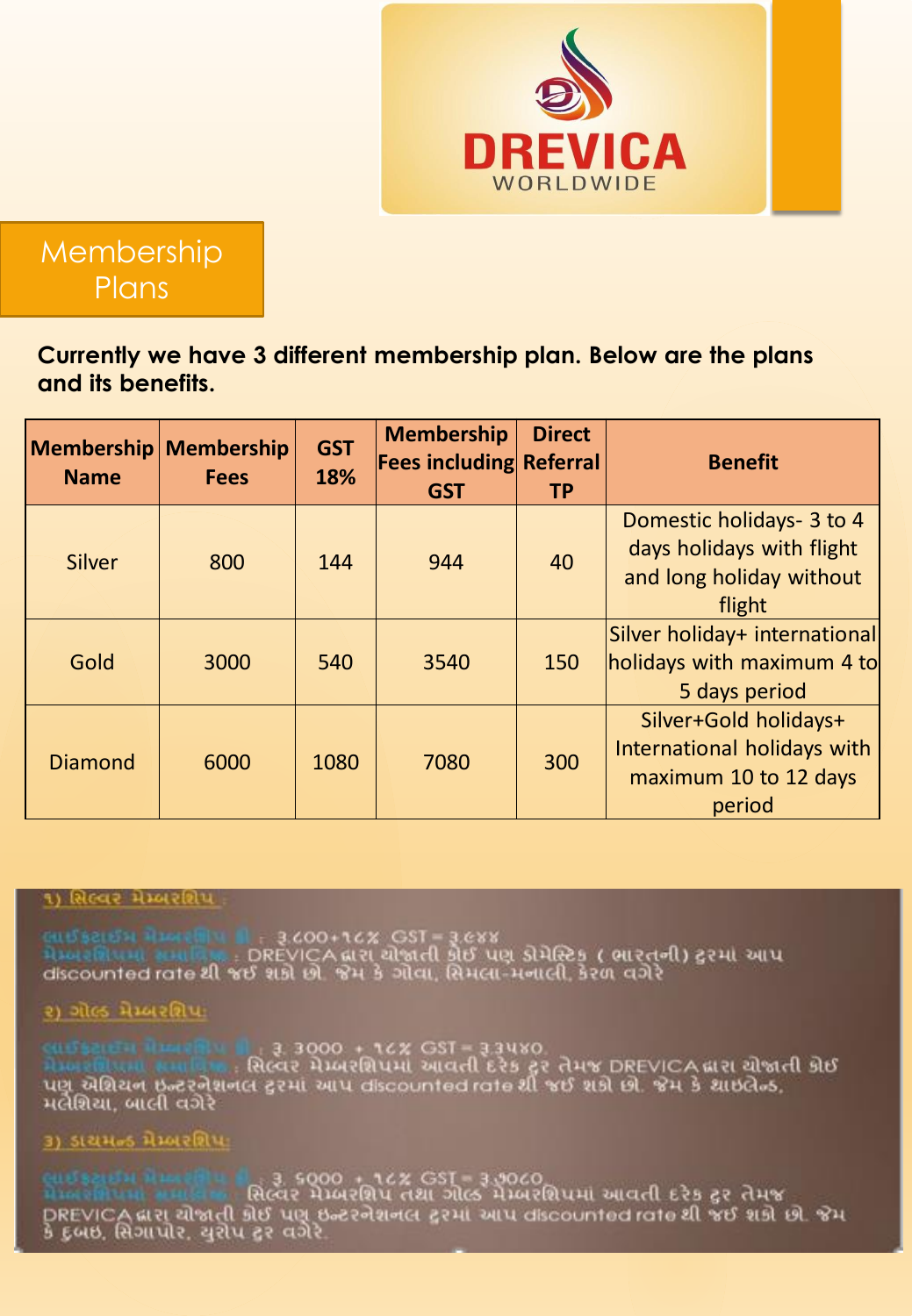

**Membership Plans** 

**Currently we have 3 different membership plan. Below are the plans and its benefits.**

| <b>Membership Membership</b><br><b>Name</b> | <b>Fees</b> | <b>GST</b><br>18% | <b>Membership</b><br><b>Fees including Referral</b><br><b>GST</b> | <b>Direct</b><br><b>TP</b> | <b>Benefit</b>                                                                               |
|---------------------------------------------|-------------|-------------------|-------------------------------------------------------------------|----------------------------|----------------------------------------------------------------------------------------------|
| Silver                                      | 800         | 144               | 944                                                               | 40                         | Domestic holidays- 3 to 4<br>days holidays with flight<br>and long holiday without<br>flight |
| Gold                                        | 3000        | 540               | 3540                                                              | 150                        | Silver holiday+ international<br>holidays with maximum 4 to<br>5 days period                 |
| <b>Diamond</b>                              | 6000        | 1080              | 7080                                                              | 300                        | Silver+Gold holidays+<br>International holidays with<br>maximum 10 to 12 days<br>period      |

#### ૧) સિલ્વર મેમ્બરશિપ

લાઈફટાઈમ મેમ્બરેશિય છે : ३.८००+૧૮% GST = ३.૯૪૪<br>મેમ્બરશિયમાં સમાવિત્ર : DREVICA દ્વારા ચોજાતી કોઈ પણ ડોમેસ્ટિક ( ભારતની) ટ્વરમાં આપ<br>discounted rate થી જઈ શકો છો. જેમ કે ગોવા, સિમલા-મનાલી, કેરળ વગેરે

૨) ગોલ્ડ મેમ્બરશિપ:

લાઈક માટેને મેમ્બરમાં પ્રાન્ચી : રૂ. 3000 + ૧૮% GST = રૂ.3૫૪0.<br>મેમ્બરમાં પ્રામા કર્માણ : : સિલ્વર મેમ્બરશિપમાં આવતી દરેક ટ્રસ્ તેમજ DREVICA લારા યોજાતી કોઈ<br>પણૂ યેશિયન છૂન્ટરનેશનલ ટ્રસ્માં આપ discounted rate શી જઈ શકો છો. મલેશિયા, બાલી વગેરે

#### ૩) ડાયમન્ડ મેમ્બરશિપા

ૂ 3. s000 + 16% GST = 3.9060<br>સિલ્વર મેમ્બરશિપ તથા ગોલ્ડ મેમ્બરશિપમાં આવતી દરેક ટુર તેમજ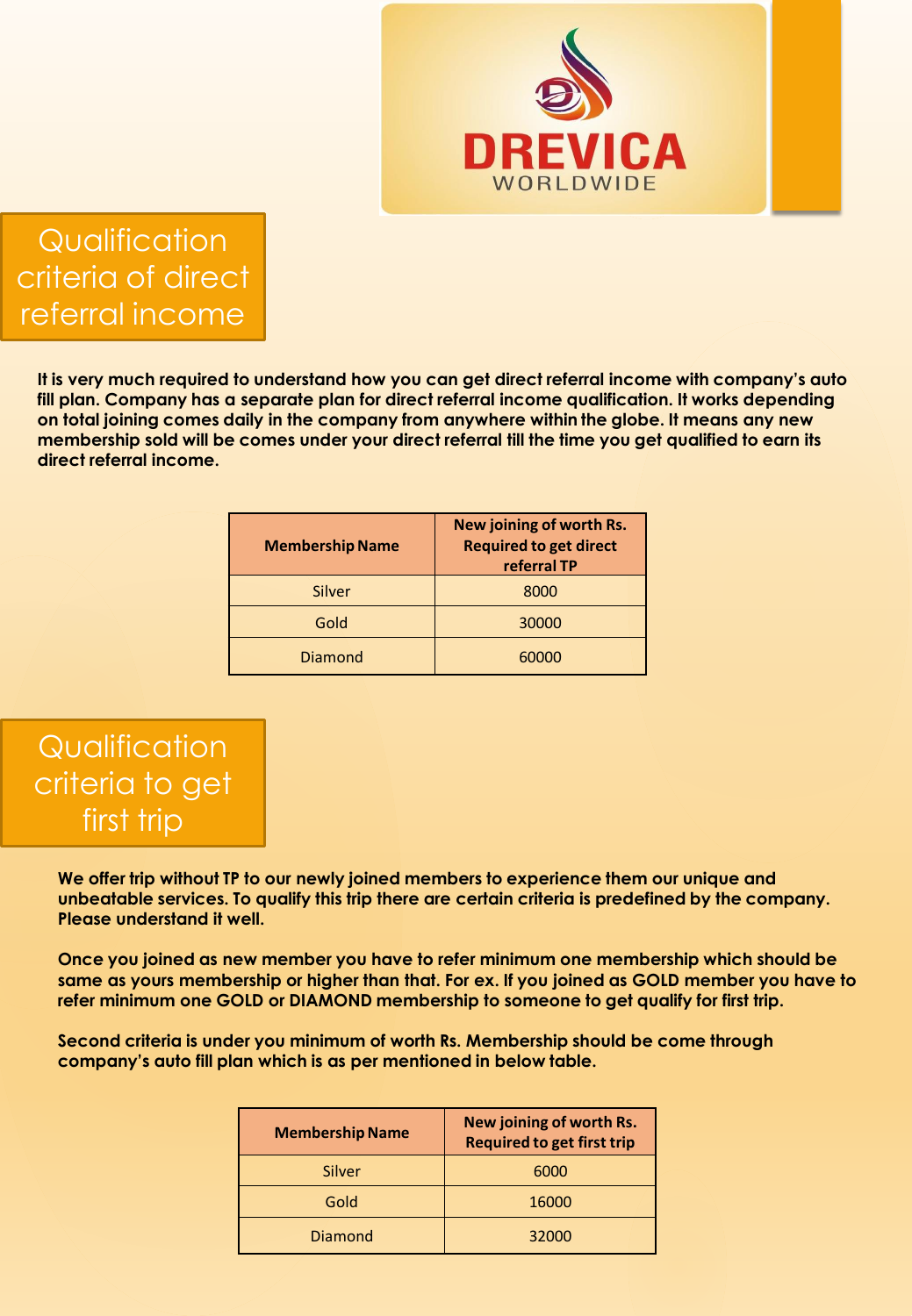

**Qualification** criteria of direct referral income

**It is very much required to understand how you can get direct referral income with company's auto fill plan. Company has a separate plan for direct referral income qualification. It works depending on total joining comes daily in the company from anywhere within the globe. It means any new membership sold will be comes under your direct referral till the time you get qualified to earn its direct referral income.** 

| <b>Membership Name</b> | New joining of worth Rs.<br><b>Required to get direct</b><br>referral TP |
|------------------------|--------------------------------------------------------------------------|
| Silver                 | 8000                                                                     |
| Gold                   | 30000                                                                    |
| Diamond                | 60000                                                                    |

### **Qualification** criteria to get first trip

**We offer trip without TP to our newly joined members to experience them our unique and unbeatable services. To qualify this trip there are certain criteria is predefined by the company. Please understand it well.**

**Once you joined as new member you have to refer minimum one membership which should be same as yours membership or higher than that. For ex. If you joined as GOLD member you have to refer minimum one GOLD or DIAMOND membership to someone to get qualify for first trip.**

**Second criteria is under you minimum of worth Rs. Membership should be come through company's auto fill plan which is as per mentioned in below table.**

| <b>Membership Name</b> | New joining of worth Rs.<br><b>Required to get first trip</b> |
|------------------------|---------------------------------------------------------------|
| Silver                 | 6000                                                          |
| Gold                   | 16000                                                         |
| <b>Diamond</b>         | 32000                                                         |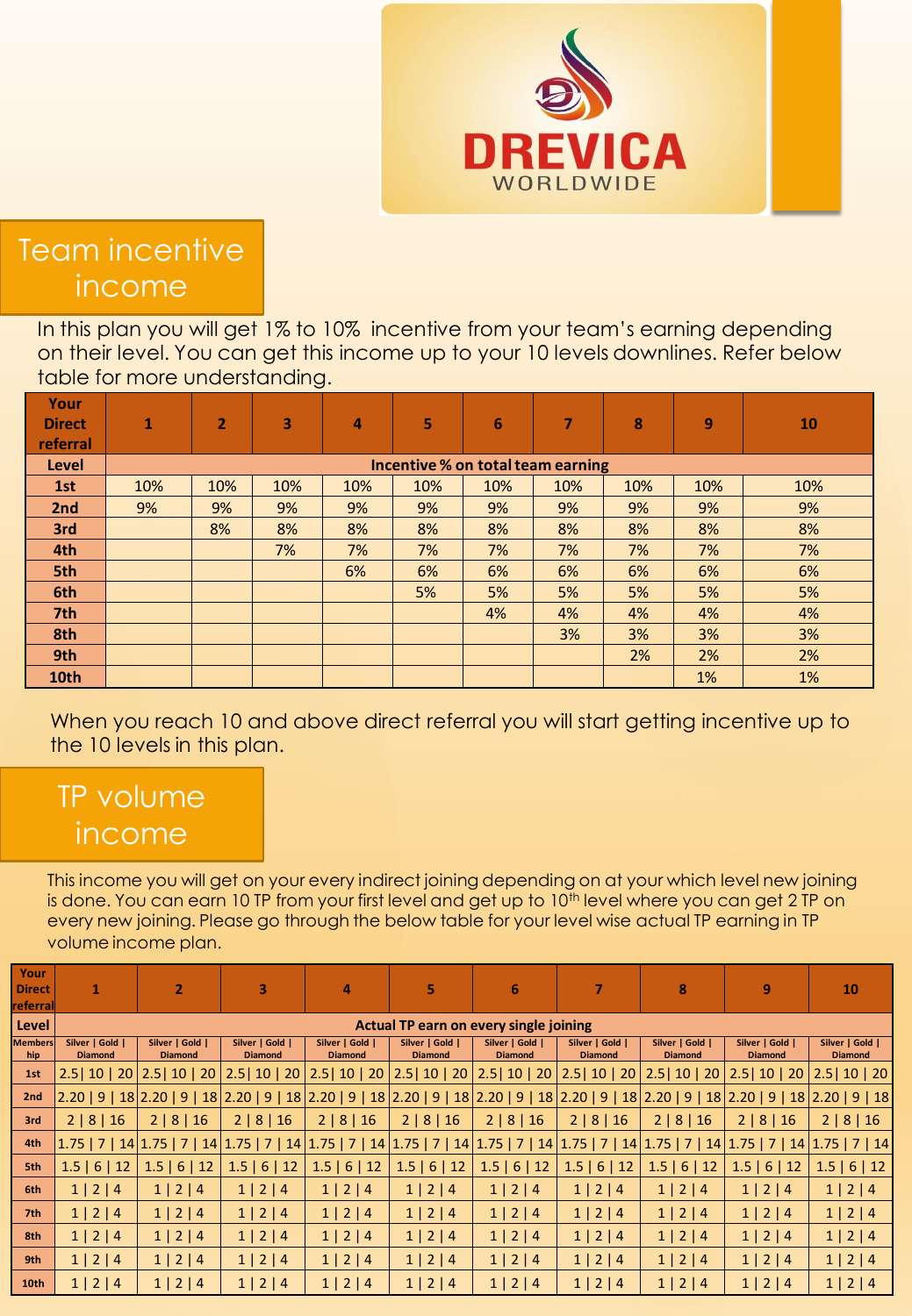

Team incentive income

In this plan you will get 1% to 10% incentive from your team's earning depending on their level. You can get this income up to your 10 levels downlines. Refer below table for more understanding.

| Your<br><b>Direct</b><br>referral | $\mathbf{1}$                      | $\overline{2}$ | 3   | 4   | S.  | 6   |     | 8   | 9   | 10  |
|-----------------------------------|-----------------------------------|----------------|-----|-----|-----|-----|-----|-----|-----|-----|
| <b>Level</b>                      | Incentive % on total team earning |                |     |     |     |     |     |     |     |     |
| 1st                               | 10%                               | 10%            | 10% | 10% | 10% | 10% | 10% | 10% | 10% | 10% |
| 2nd                               | 9%                                | 9%             | 9%  | 9%  | 9%  | 9%  | 9%  | 9%  | 9%  | 9%  |
| 3rd                               |                                   | 8%             | 8%  | 8%  | 8%  | 8%  | 8%  | 8%  | 8%  | 8%  |
| 4th                               |                                   |                | 7%  | 7%  | 7%  | 7%  | 7%  | 7%  | 7%  | 7%  |
| 5th                               |                                   |                |     | 6%  | 6%  | 6%  | 6%  | 6%  | 6%  | 6%  |
| 6th                               |                                   |                |     |     | 5%  | 5%  | 5%  | 5%  | 5%  | 5%  |
| 7th                               |                                   |                |     |     |     | 4%  | 4%  | 4%  | 4%  | 4%  |
| 8th                               |                                   |                |     |     |     |     | 3%  | 3%  | 3%  | 3%  |
| 9th                               |                                   |                |     |     |     |     |     | 2%  | 2%  | 2%  |
| 10th                              |                                   |                |     |     |     |     |     |     | 1%  | 1%  |

When you reach 10 and above direct referral you will start getting incentive up to the 10 levels in this plan.

# TP volume income

This income you will get on your every indirect joining depending on at your which level new joining is done. You can earn 10 TP from your first level and get up to 10<sup>th</sup> level where you can get 2 TP on every new joining. Please go through the below table for your level wise actual TP earning in TP volume income plan.

| Your<br>Direct<br>referral | 1                                             | 2                                 | 3                                 | 4                                                                                                                                                    | 5                                 | 6                                                                                             | 7                                 | 8                                 | 9                                 | 10                                |
|----------------------------|-----------------------------------------------|-----------------------------------|-----------------------------------|------------------------------------------------------------------------------------------------------------------------------------------------------|-----------------------------------|-----------------------------------------------------------------------------------------------|-----------------------------------|-----------------------------------|-----------------------------------|-----------------------------------|
| Level                      | <b>Actual TP earn on every single joining</b> |                                   |                                   |                                                                                                                                                      |                                   |                                                                                               |                                   |                                   |                                   |                                   |
| <b>Members</b><br>hip      | Silver   Gold  <br><b>Diamond</b>             | Silver   Gold  <br><b>Diamond</b> | Silver   Gold  <br><b>Diamond</b> | Silver   Gold  <br><b>Diamond</b>                                                                                                                    | Silver   Gold  <br><b>Diamond</b> | Silver   Gold  <br><b>Diamond</b>                                                             | Silver   Gold  <br><b>Diamond</b> | Silver   Gold  <br><b>Diamond</b> | Silver   Gold  <br><b>Diamond</b> | Silver   Gold  <br><b>Diamond</b> |
| 1st                        |                                               |                                   |                                   | 2.5   10   20   2.5   10   20   2.5   10   20   2.5   10   20                                                                                        |                                   | 2.5   10   20   2.5   10   20   2.5   10   20   2.5   10   20   2.5   10   20   2.5   10   20 |                                   |                                   |                                   |                                   |
| 2nd                        |                                               |                                   |                                   | 2.20   9   18  2.20   9   18  2.20   9   18  2.20   9   18  2.20   9   18  2.20   9   18  2.20   9   18  2.20   9   18  2.20   9   18  2.20   9   18 |                                   |                                                                                               |                                   |                                   |                                   |                                   |
| 3rd                        | 2   8   16                                    | 2   8   16                        | 2   8   16                        | 2   8   16                                                                                                                                           | 2   8   16                        | 2   8   16                                                                                    | 2   8   16                        | 2   8   16                        | 2   8   16                        | 2   8   16                        |
| 4th                        |                                               |                                   |                                   | 1.75   7   14 1.75   7   14 1.75   7   14 1.75   7   14 1.75   7   14 1.75   7   14 1.75   7   14 1.75   7   14 1.75   7   14 1.75   7   14          |                                   |                                                                                               |                                   |                                   |                                   |                                   |
| 5th                        | $1.5$   6   12                                | 1.5   6   12                      | 1.5   6   12                      | 1.5   6   12                                                                                                                                         | 1.5   6   12                      | 1.5   6   12                                                                                  | 1.5   6   12                      | 1.5   6   12                      | 1.5   6   12                      | 1.5   6   12                      |
| 6th                        | 1   2   4                                     | 1   2   4                         | 1   2   4                         | 1   2   4                                                                                                                                            | 1   2   4                         | 1   2   4                                                                                     | 1   2   4                         | 1   2   4                         | 1   2   4                         | 1   2   4                         |
| 7th                        | 1   2   4                                     | 1   2   4                         | 1   2   4                         | 1   2   4                                                                                                                                            | 1   2   4                         | 1   2   4                                                                                     | 1   2   4                         | 1   2   4                         | 1   2   4                         | 1   2   4                         |
| 8th                        | 1   2   4                                     | 1   2   4                         | 1   2   4                         | 1   2   4                                                                                                                                            | 1   2   4                         | 1   2   4                                                                                     | 1   2   4                         | 1   2   4                         | 1   2   4                         | $1 \mid 2 \mid 4$                 |
| 9th                        | 1   2   4                                     | 1   2   4                         | 1   2   4                         | 1   2   4                                                                                                                                            | 1   2   4                         | 1   2   4                                                                                     | 1   2   4                         | 1   2   4                         | 1   2   4                         | 1   2   4                         |
| <b>10th</b>                | 1   2   4                                     | 1   2   4                         | $1 \mid 2 \mid 4$                 | 1   2   4                                                                                                                                            | 1   2   4                         | 1   2   4                                                                                     | 1   2   4                         | 1   2   4                         | 1   2   4                         | $1 \mid 2 \mid 4$                 |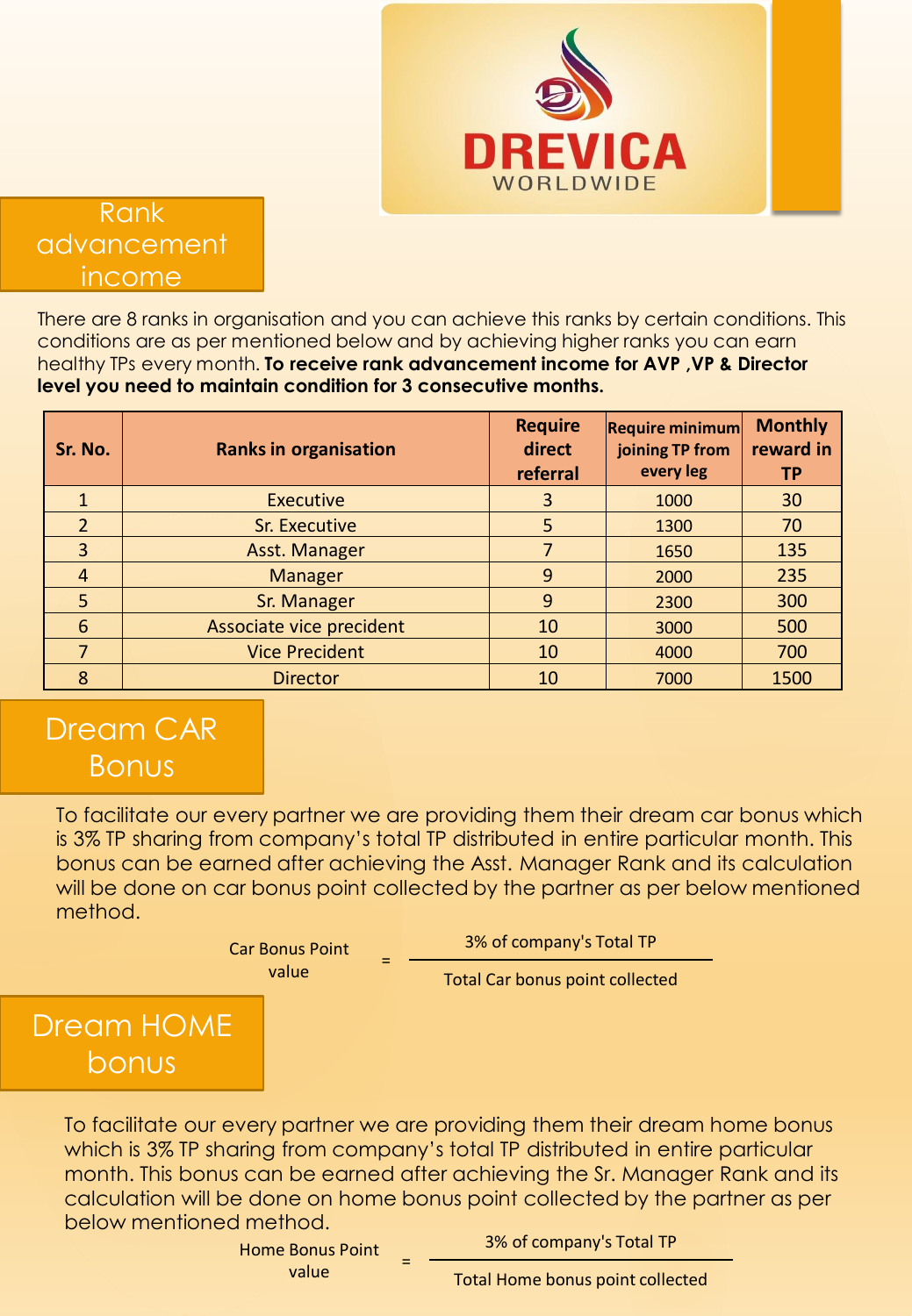

#### Rank advancement income

There are 8 ranks in organisation and you can achieve this ranks by certain conditions. This conditions are as per mentioned below and by achieving higher ranks you can earn healthy TPs every month. **To receive rank advancement income for AVP ,VP & Director level you need to maintain condition for 3 consecutive months.**

| Sr. No.        | <b>Ranks in organisation</b> | <b>Require</b><br>direct<br>referral | <b>Require minimum</b><br>joining TP from<br>every leg | <b>Monthly</b><br>reward in<br><b>TP</b> |
|----------------|------------------------------|--------------------------------------|--------------------------------------------------------|------------------------------------------|
|                | <b>Executive</b>             | 3                                    | 1000                                                   | 30                                       |
| $\overline{2}$ | Sr. Executive                | 5                                    | 1300                                                   | 70                                       |
| 3              | Asst. Manager                | 7                                    | 1650                                                   | 135                                      |
| $\overline{4}$ | <b>Manager</b>               | 9                                    | 2000                                                   | 235                                      |
| 5              | Sr. Manager                  | 9                                    | 2300                                                   | 300                                      |
| 6              | Associate vice precident     | 10                                   | 3000                                                   | 500                                      |
|                | <b>Vice Precident</b>        | 10                                   | 4000                                                   | 700                                      |
| 8              | <b>Director</b>              | 10                                   | 7000                                                   | 1500                                     |

## Dream CAR **Bonus**

To facilitate our every partner we are providing them their dream car bonus which is 3% TP sharing from company's total TP distributed in entire particular month. This bonus can be earned after achieving the Asst. Manager Rank and its calculation will be done on car bonus point collected by the partner as per below mentioned method.

> Car Bonus Point value

3% of company's Total TP

Total Car bonus point collected

#### Dream HOME bonus

To facilitate our every partner we are providing them their dream home bonus which is 3% TP sharing from company's total TP distributed in entire particular month. This bonus can be earned after achieving the Sr. Manager Rank and its calculation will be done on home bonus point collected by the partner as per below mentioned method.

> Home Bonus Point value <sup>=</sup>

3% of company's Total TP

Total Home bonus point collected